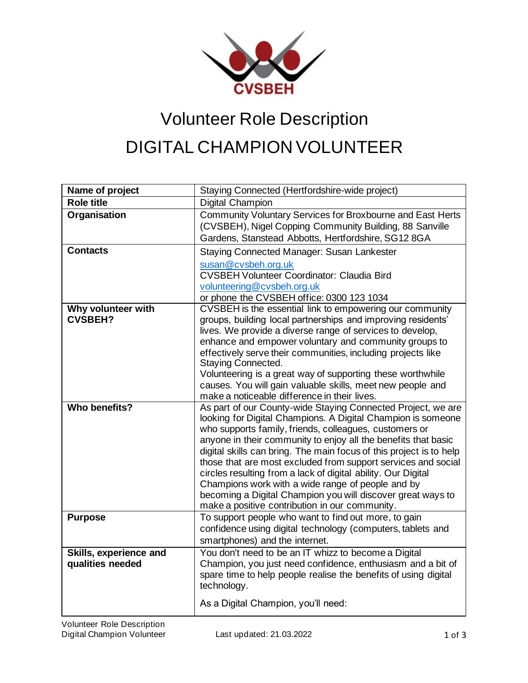

## Volunteer Role Description DIGITAL CHAMPION VOLUNTEER

| Name of project                            | Staying Connected (Hertfordshire-wide project)                                                                                                                                                                                                                                                                                                                                                                                                                                                                                                                                                                                          |
|--------------------------------------------|-----------------------------------------------------------------------------------------------------------------------------------------------------------------------------------------------------------------------------------------------------------------------------------------------------------------------------------------------------------------------------------------------------------------------------------------------------------------------------------------------------------------------------------------------------------------------------------------------------------------------------------------|
| <b>Role title</b>                          | Digital Champion                                                                                                                                                                                                                                                                                                                                                                                                                                                                                                                                                                                                                        |
| Organisation                               | Community Voluntary Services for Broxbourne and East Herts<br>(CVSBEH), Nigel Copping Community Building, 88 Sanville<br>Gardens, Stanstead Abbotts, Hertfordshire, SG12 8GA                                                                                                                                                                                                                                                                                                                                                                                                                                                            |
| <b>Contacts</b>                            | Staying Connected Manager: Susan Lankester<br>susan@cvsbeh.org.uk<br><b>CVSBEH Volunteer Coordinator: Claudia Bird</b><br>volunteering@cvsbeh.org.uk<br>or phone the CVSBEH office: 0300 123 1034                                                                                                                                                                                                                                                                                                                                                                                                                                       |
| Why volunteer with<br><b>CVSBEH?</b>       | CVSBEH is the essential link to empowering our community<br>groups, building local partnerships and improving residents'<br>lives. We provide a diverse range of services to develop,<br>enhance and empower voluntary and community groups to<br>effectively serve their communities, including projects like<br>Staying Connected.<br>Volunteering is a great way of supporting these worthwhile<br>causes. You will gain valuable skills, meet new people and<br>make a noticeable difference in their lives.                                                                                                                        |
| Who benefits?                              | As part of our County-wide Staying Connected Project, we are<br>looking for Digital Champions. A Digital Champion is someone<br>who supports family, friends, colleagues, customers or<br>anyone in their community to enjoy all the benefits that basic<br>digital skills can bring. The main focus of this project is to help<br>those that are most excluded from support services and social<br>circles resulting from a lack of digital ability. Our Digital<br>Champions work with a wide range of people and by<br>becoming a Digital Champion you will discover great ways to<br>make a positive contribution in our community. |
| <b>Purpose</b>                             | To support people who want to find out more, to gain<br>confidence using digital technology (computers, tablets and<br>smartphones) and the internet.                                                                                                                                                                                                                                                                                                                                                                                                                                                                                   |
| Skills, experience and<br>qualities needed | You don't need to be an IT whizz to become a Digital<br>Champion, you just need confidence, enthusiasm and a bit of<br>spare time to help people realise the benefits of using digital<br>technology.<br>As a Digital Champion, you'll need:                                                                                                                                                                                                                                                                                                                                                                                            |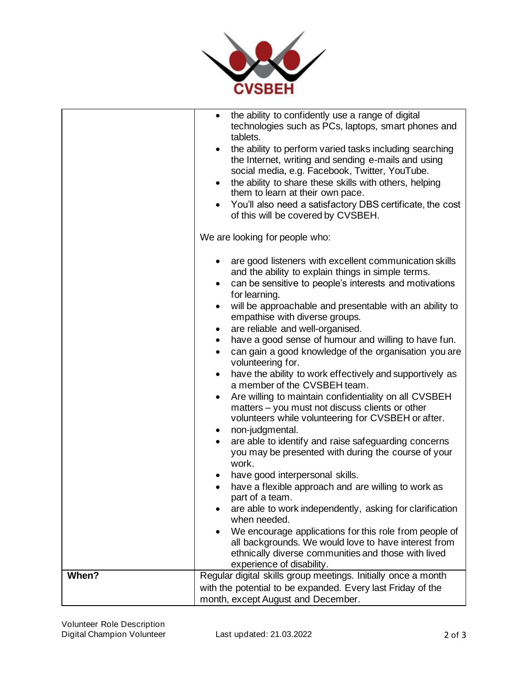

|       | the ability to confidently use a range of digital<br>$\bullet$<br>technologies such as PCs, laptops, smart phones and<br>tablets.<br>the ability to perform varied tasks including searching<br>the Internet, writing and sending e-mails and using<br>social media, e.g. Facebook, Twitter, YouTube.<br>the ability to share these skills with others, helping<br>$\bullet$<br>them to learn at their own pace.<br>You'll also need a satisfactory DBS certificate, the cost<br>of this will be covered by CVSBEH.<br>We are looking for people who:                                                                                                                                                                                                                                                                                                                                                                                                                                                                                                                                                                                                                                                                                                                                                                   |
|-------|-------------------------------------------------------------------------------------------------------------------------------------------------------------------------------------------------------------------------------------------------------------------------------------------------------------------------------------------------------------------------------------------------------------------------------------------------------------------------------------------------------------------------------------------------------------------------------------------------------------------------------------------------------------------------------------------------------------------------------------------------------------------------------------------------------------------------------------------------------------------------------------------------------------------------------------------------------------------------------------------------------------------------------------------------------------------------------------------------------------------------------------------------------------------------------------------------------------------------------------------------------------------------------------------------------------------------|
|       | are good listeners with excellent communication skills<br>and the ability to explain things in simple terms.<br>can be sensitive to people's interests and motivations<br>for learning.<br>will be approachable and presentable with an ability to<br>٠<br>empathise with diverse groups.<br>are reliable and well-organised.<br>have a good sense of humour and willing to have fun.<br>$\bullet$<br>can gain a good knowledge of the organisation you are<br>$\bullet$<br>volunteering for.<br>have the ability to work effectively and supportively as<br>a member of the CVSBEH team.<br>Are willing to maintain confidentiality on all CVSBEH<br>$\bullet$<br>matters - you must not discuss clients or other<br>volunteers while volunteering for CVSBEH or after.<br>non-judgmental.<br>٠<br>are able to identify and raise safeguarding concerns<br>you may be presented with during the course of your<br>work.<br>have good interpersonal skills.<br>have a flexible approach and are willing to work as<br>part of a team.<br>are able to work independently, asking for clarification<br>when needed.<br>We encourage applications for this role from people of<br>all backgrounds. We would love to have interest from<br>ethnically diverse communities and those with lived<br>experience of disability. |
| When? | Regular digital skills group meetings. Initially once a month<br>with the potential to be expanded. Every last Friday of the<br>month, except August and December.                                                                                                                                                                                                                                                                                                                                                                                                                                                                                                                                                                                                                                                                                                                                                                                                                                                                                                                                                                                                                                                                                                                                                      |